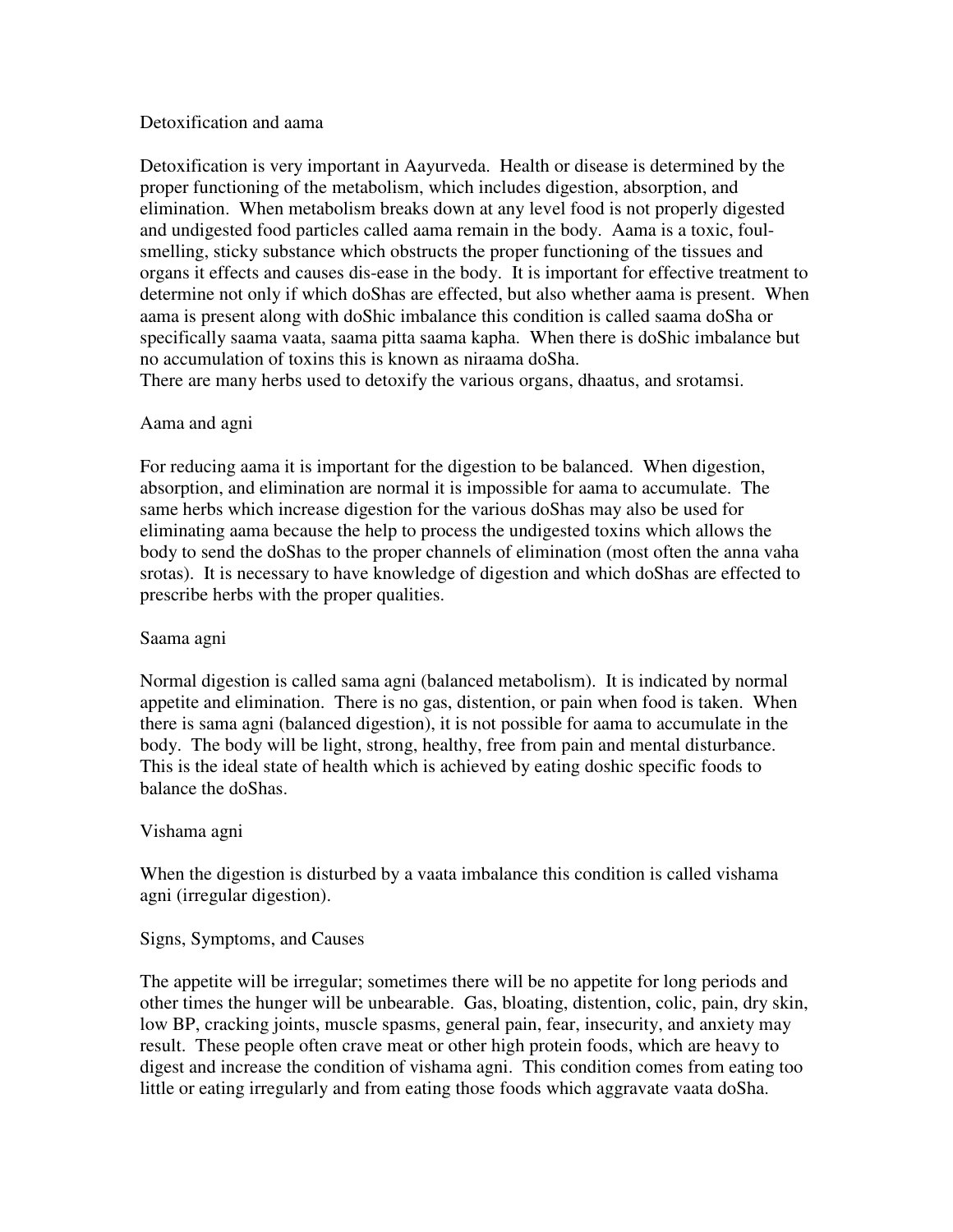## Detoxification and aama

Detoxification is very important in Aayurveda. Health or disease is determined by the proper functioning of the metabolism, which includes digestion, absorption, and elimination. When metabolism breaks down at any level food is not properly digested and undigested food particles called aama remain in the body. Aama is a toxic, foulsmelling, sticky substance which obstructs the proper functioning of the tissues and organs it effects and causes dis-ease in the body. It is important for effective treatment to determine not only if which doShas are effected, but also whether aama is present. When aama is present along with doShic imbalance this condition is called saama doSha or specifically saama vaata, saama pitta saama kapha. When there is doShic imbalance but no accumulation of toxins this is known as niraama doSha.

There are many herbs used to detoxify the various organs, dhaatus, and srotamsi.

# Aama and agni

For reducing aama it is important for the digestion to be balanced. When digestion, absorption, and elimination are normal it is impossible for aama to accumulate. The same herbs which increase digestion for the various doShas may also be used for eliminating aama because the help to process the undigested toxins which allows the body to send the doShas to the proper channels of elimination (most often the anna vaha srotas). It is necessary to have knowledge of digestion and which doShas are effected to prescribe herbs with the proper qualities.

# Saama agni

Normal digestion is called sama agni (balanced metabolism). It is indicated by normal appetite and elimination. There is no gas, distention, or pain when food is taken. When there is sama agni (balanced digestion), it is not possible for aama to accumulate in the body. The body will be light, strong, healthy, free from pain and mental disturbance. This is the ideal state of health which is achieved by eating doshic specific foods to balance the doShas.

# Vishama agni

When the digestion is disturbed by a vaata imbalance this condition is called vishama agni (irregular digestion).

# Signs, Symptoms, and Causes

The appetite will be irregular; sometimes there will be no appetite for long periods and other times the hunger will be unbearable. Gas, bloating, distention, colic, pain, dry skin, low BP, cracking joints, muscle spasms, general pain, fear, insecurity, and anxiety may result. These people often crave meat or other high protein foods, which are heavy to digest and increase the condition of vishama agni. This condition comes from eating too little or eating irregularly and from eating those foods which aggravate vaata doSha.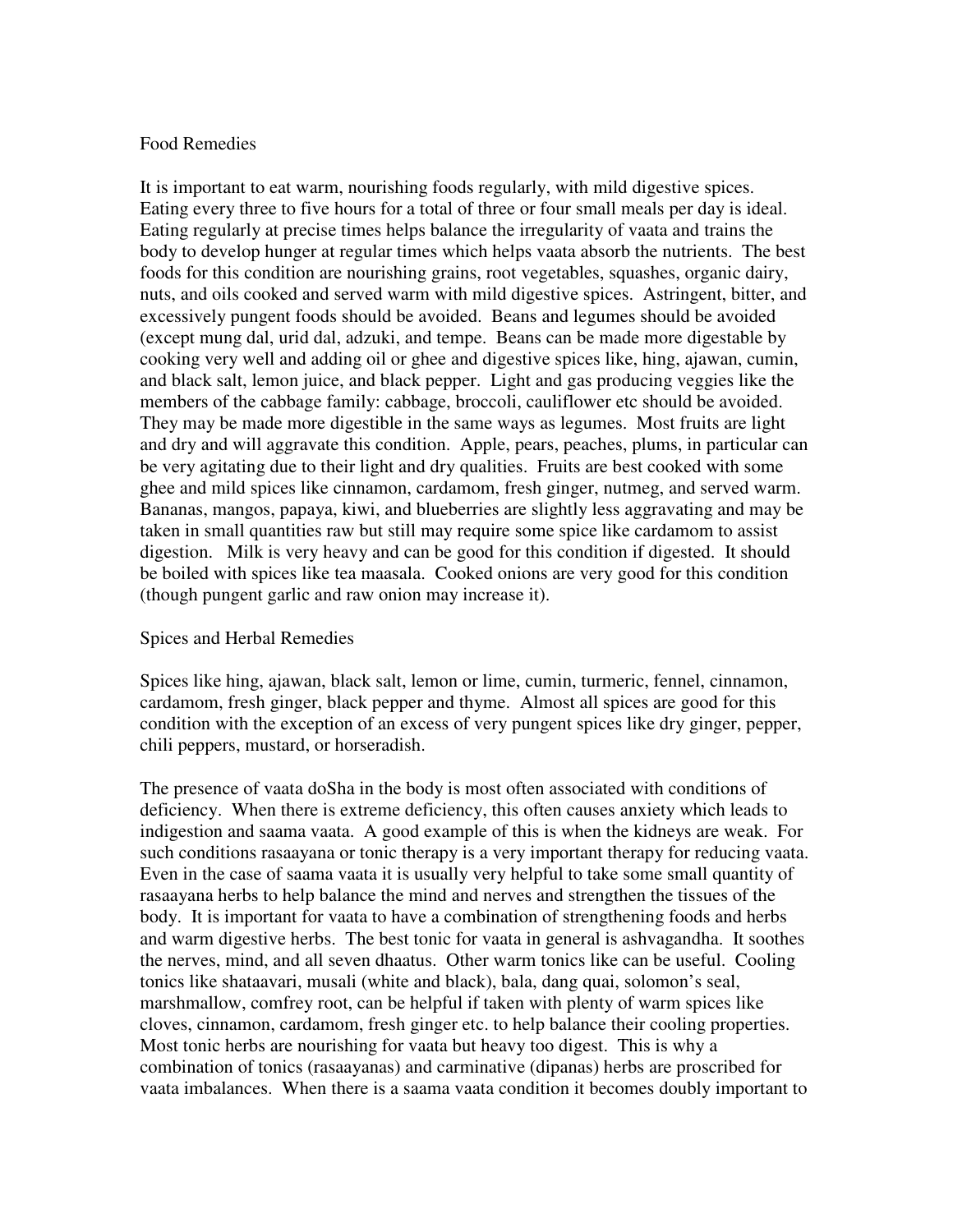## Food Remedies

It is important to eat warm, nourishing foods regularly, with mild digestive spices. Eating every three to five hours for a total of three or four small meals per day is ideal. Eating regularly at precise times helps balance the irregularity of vaata and trains the body to develop hunger at regular times which helps vaata absorb the nutrients. The best foods for this condition are nourishing grains, root vegetables, squashes, organic dairy, nuts, and oils cooked and served warm with mild digestive spices. Astringent, bitter, and excessively pungent foods should be avoided. Beans and legumes should be avoided (except mung dal, urid dal, adzuki, and tempe. Beans can be made more digestable by cooking very well and adding oil or ghee and digestive spices like, hing, ajawan, cumin, and black salt, lemon juice, and black pepper. Light and gas producing veggies like the members of the cabbage family: cabbage, broccoli, cauliflower etc should be avoided. They may be made more digestible in the same ways as legumes. Most fruits are light and dry and will aggravate this condition. Apple, pears, peaches, plums, in particular can be very agitating due to their light and dry qualities. Fruits are best cooked with some ghee and mild spices like cinnamon, cardamom, fresh ginger, nutmeg, and served warm. Bananas, mangos, papaya, kiwi, and blueberries are slightly less aggravating and may be taken in small quantities raw but still may require some spice like cardamom to assist digestion. Milk is very heavy and can be good for this condition if digested. It should be boiled with spices like tea maasala. Cooked onions are very good for this condition (though pungent garlic and raw onion may increase it).

### Spices and Herbal Remedies

Spices like hing, ajawan, black salt, lemon or lime, cumin, turmeric, fennel, cinnamon, cardamom, fresh ginger, black pepper and thyme. Almost all spices are good for this condition with the exception of an excess of very pungent spices like dry ginger, pepper, chili peppers, mustard, or horseradish.

The presence of vaata doSha in the body is most often associated with conditions of deficiency. When there is extreme deficiency, this often causes anxiety which leads to indigestion and saama vaata. A good example of this is when the kidneys are weak. For such conditions rasaayana or tonic therapy is a very important therapy for reducing vaata. Even in the case of saama vaata it is usually very helpful to take some small quantity of rasaayana herbs to help balance the mind and nerves and strengthen the tissues of the body. It is important for vaata to have a combination of strengthening foods and herbs and warm digestive herbs. The best tonic for vaata in general is ashvagandha. It soothes the nerves, mind, and all seven dhaatus. Other warm tonics like can be useful. Cooling tonics like shataavari, musali (white and black), bala, dang quai, solomon's seal, marshmallow, comfrey root, can be helpful if taken with plenty of warm spices like cloves, cinnamon, cardamom, fresh ginger etc. to help balance their cooling properties. Most tonic herbs are nourishing for vaata but heavy too digest. This is why a combination of tonics (rasaayanas) and carminative (dipanas) herbs are proscribed for vaata imbalances. When there is a saama vaata condition it becomes doubly important to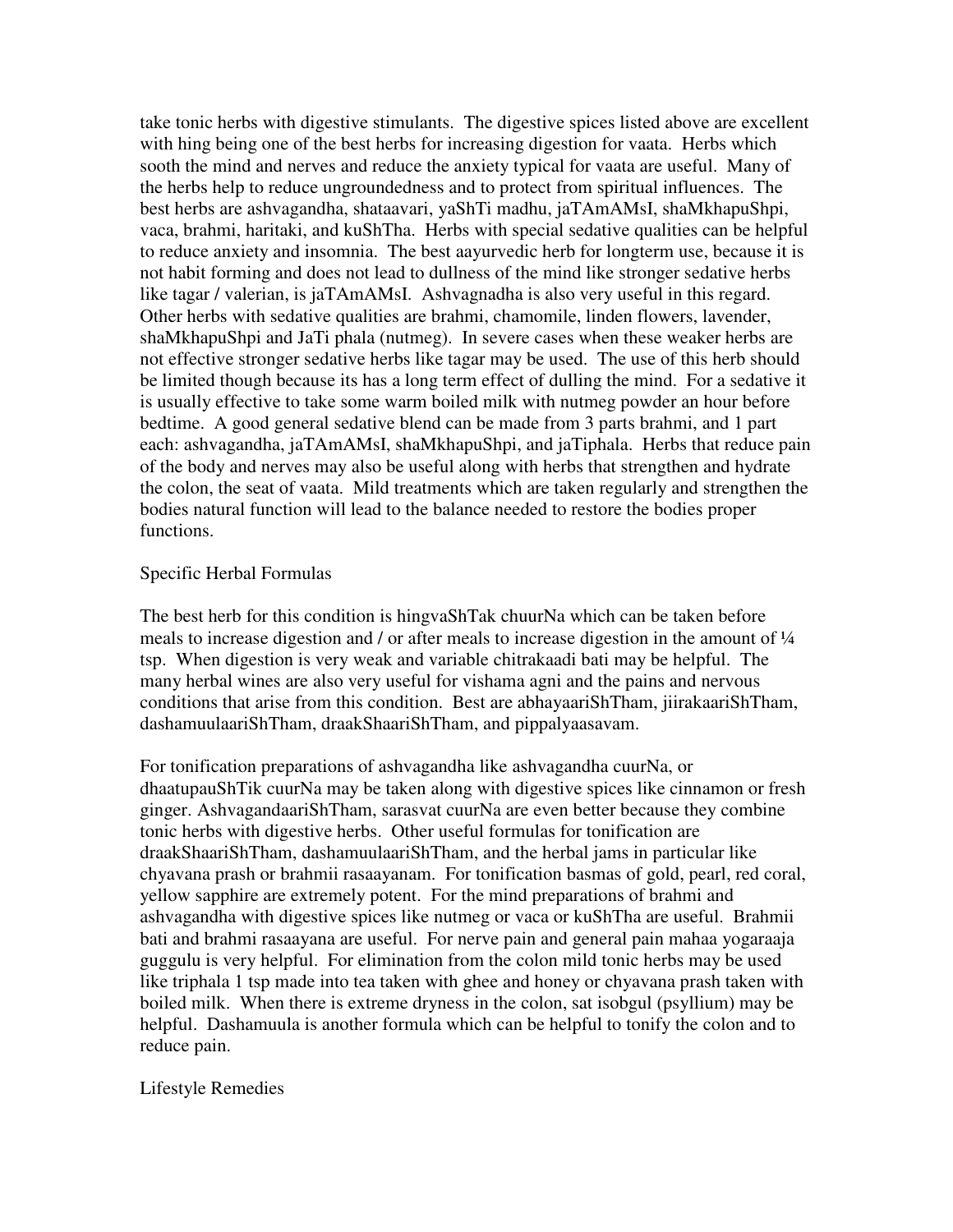take tonic herbs with digestive stimulants. The digestive spices listed above are excellent with hing being one of the best herbs for increasing digestion for vaata. Herbs which sooth the mind and nerves and reduce the anxiety typical for vaata are useful. Many of the herbs help to reduce ungroundedness and to protect from spiritual influences. The best herbs are ashvagandha, shataavari, yaShTi madhu, jaTAmAMsI, shaMkhapuShpi, vaca, brahmi, haritaki, and kuShTha. Herbs with special sedative qualities can be helpful to reduce anxiety and insomnia. The best aayurvedic herb for longterm use, because it is not habit forming and does not lead to dullness of the mind like stronger sedative herbs like tagar / valerian, is jaTAmAMsI. Ashvagnadha is also very useful in this regard. Other herbs with sedative qualities are brahmi, chamomile, linden flowers, lavender, shaMkhapuShpi and JaTi phala (nutmeg). In severe cases when these weaker herbs are not effective stronger sedative herbs like tagar may be used. The use of this herb should be limited though because its has a long term effect of dulling the mind. For a sedative it is usually effective to take some warm boiled milk with nutmeg powder an hour before bedtime. A good general sedative blend can be made from 3 parts brahmi, and 1 part each: ashvagandha, jaTAmAMsI, shaMkhapuShpi, and jaTiphala. Herbs that reduce pain of the body and nerves may also be useful along with herbs that strengthen and hydrate the colon, the seat of vaata. Mild treatments which are taken regularly and strengthen the bodies natural function will lead to the balance needed to restore the bodies proper functions.

## Specific Herbal Formulas

The best herb for this condition is hingvaShTak chuurNa which can be taken before meals to increase digestion and / or after meals to increase digestion in the amount of ¼ tsp. When digestion is very weak and variable chitrakaadi bati may be helpful. The many herbal wines are also very useful for vishama agni and the pains and nervous conditions that arise from this condition. Best are abhayaariShTham, jiirakaariShTham, dashamuulaariShTham, draakShaariShTham, and pippalyaasavam.

For tonification preparations of ashvagandha like ashvagandha cuurNa, or dhaatupauShTik cuurNa may be taken along with digestive spices like cinnamon or fresh ginger. AshvagandaariShTham, sarasvat cuurNa are even better because they combine tonic herbs with digestive herbs. Other useful formulas for tonification are draakShaariShTham, dashamuulaariShTham, and the herbal jams in particular like chyavana prash or brahmii rasaayanam. For tonification basmas of gold, pearl, red coral, yellow sapphire are extremely potent. For the mind preparations of brahmi and ashvagandha with digestive spices like nutmeg or vaca or kuShTha are useful. Brahmii bati and brahmi rasaayana are useful. For nerve pain and general pain mahaa yogaraaja guggulu is very helpful. For elimination from the colon mild tonic herbs may be used like triphala 1 tsp made into tea taken with ghee and honey or chyavana prash taken with boiled milk. When there is extreme dryness in the colon, sat isobgul (psyllium) may be helpful. Dashamuula is another formula which can be helpful to tonify the colon and to reduce pain.

### Lifestyle Remedies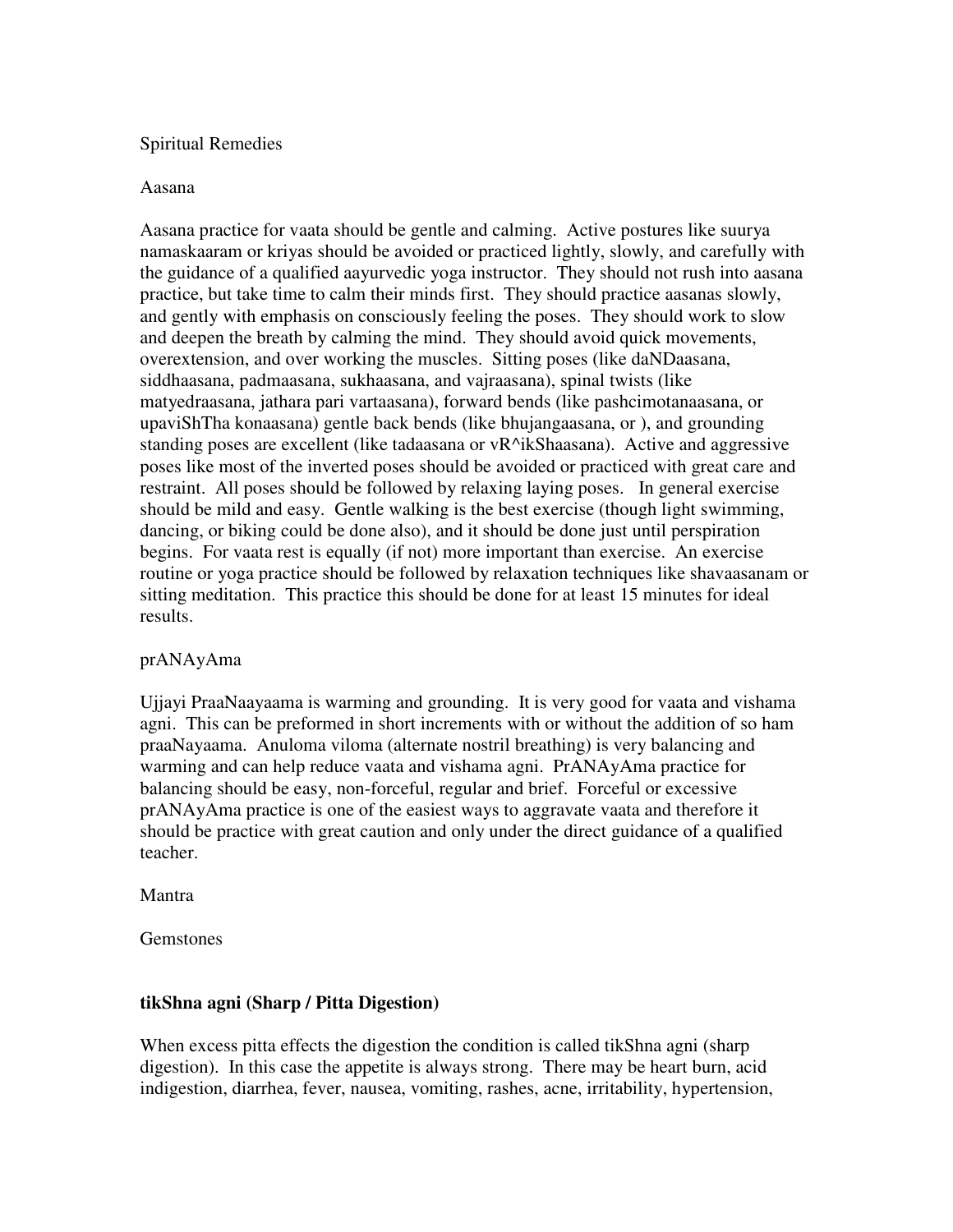## Spiritual Remedies

#### Aasana

Aasana practice for vaata should be gentle and calming. Active postures like suurya namaskaaram or kriyas should be avoided or practiced lightly, slowly, and carefully with the guidance of a qualified aayurvedic yoga instructor. They should not rush into aasana practice, but take time to calm their minds first. They should practice aasanas slowly, and gently with emphasis on consciously feeling the poses. They should work to slow and deepen the breath by calming the mind. They should avoid quick movements, overextension, and over working the muscles. Sitting poses (like daNDaasana, siddhaasana, padmaasana, sukhaasana, and vajraasana), spinal twists (like matyedraasana, jathara pari vartaasana), forward bends (like pashcimotanaasana, or upaviShTha konaasana) gentle back bends (like bhujangaasana, or ), and grounding standing poses are excellent (like tadaasana or vR^ikShaasana). Active and aggressive poses like most of the inverted poses should be avoided or practiced with great care and restraint. All poses should be followed by relaxing laying poses. In general exercise should be mild and easy. Gentle walking is the best exercise (though light swimming, dancing, or biking could be done also), and it should be done just until perspiration begins. For vaata rest is equally (if not) more important than exercise. An exercise routine or yoga practice should be followed by relaxation techniques like shavaasanam or sitting meditation. This practice this should be done for at least 15 minutes for ideal results.

### prANAyAma

Ujjayi PraaNaayaama is warming and grounding. It is very good for vaata and vishama agni. This can be preformed in short increments with or without the addition of so ham praaNayaama. Anuloma viloma (alternate nostril breathing) is very balancing and warming and can help reduce vaata and vishama agni. PrANAyAma practice for balancing should be easy, non-forceful, regular and brief. Forceful or excessive prANAyAma practice is one of the easiest ways to aggravate vaata and therefore it should be practice with great caution and only under the direct guidance of a qualified teacher.

### Mantra

Gemstones

# **tikShna agni (Sharp / Pitta Digestion)**

When excess pitta effects the digestion the condition is called tikShna agni (sharp digestion). In this case the appetite is always strong. There may be heart burn, acid indigestion, diarrhea, fever, nausea, vomiting, rashes, acne, irritability, hypertension,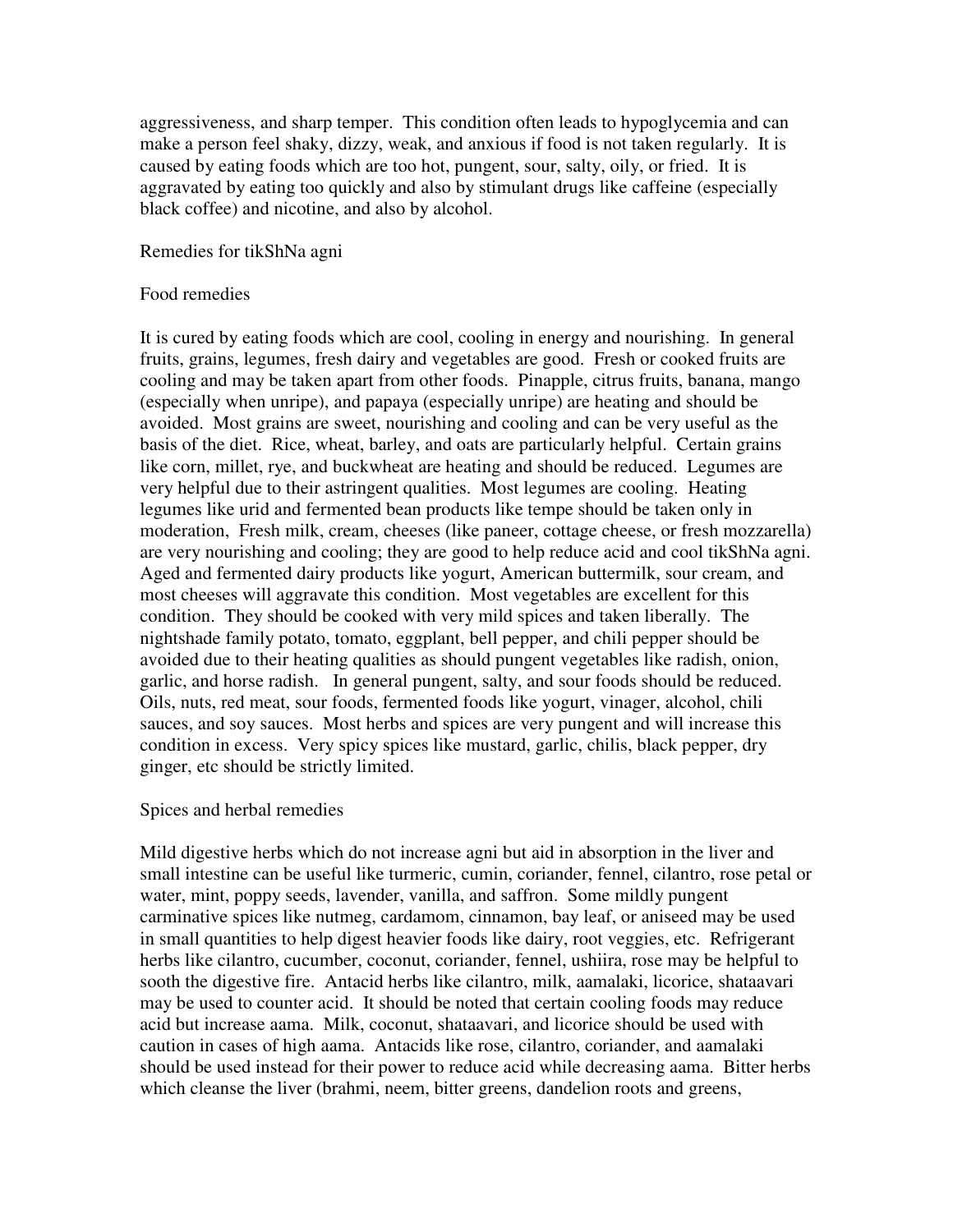aggressiveness, and sharp temper. This condition often leads to hypoglycemia and can make a person feel shaky, dizzy, weak, and anxious if food is not taken regularly. It is caused by eating foods which are too hot, pungent, sour, salty, oily, or fried. It is aggravated by eating too quickly and also by stimulant drugs like caffeine (especially black coffee) and nicotine, and also by alcohol.

Remedies for tikShNa agni

## Food remedies

It is cured by eating foods which are cool, cooling in energy and nourishing. In general fruits, grains, legumes, fresh dairy and vegetables are good. Fresh or cooked fruits are cooling and may be taken apart from other foods. Pinapple, citrus fruits, banana, mango (especially when unripe), and papaya (especially unripe) are heating and should be avoided. Most grains are sweet, nourishing and cooling and can be very useful as the basis of the diet. Rice, wheat, barley, and oats are particularly helpful. Certain grains like corn, millet, rye, and buckwheat are heating and should be reduced. Legumes are very helpful due to their astringent qualities. Most legumes are cooling. Heating legumes like urid and fermented bean products like tempe should be taken only in moderation, Fresh milk, cream, cheeses (like paneer, cottage cheese, or fresh mozzarella) are very nourishing and cooling; they are good to help reduce acid and cool tikShNa agni. Aged and fermented dairy products like yogurt, American buttermilk, sour cream, and most cheeses will aggravate this condition. Most vegetables are excellent for this condition. They should be cooked with very mild spices and taken liberally. The nightshade family potato, tomato, eggplant, bell pepper, and chili pepper should be avoided due to their heating qualities as should pungent vegetables like radish, onion, garlic, and horse radish. In general pungent, salty, and sour foods should be reduced. Oils, nuts, red meat, sour foods, fermented foods like yogurt, vinager, alcohol, chili sauces, and soy sauces. Most herbs and spices are very pungent and will increase this condition in excess. Very spicy spices like mustard, garlic, chilis, black pepper, dry ginger, etc should be strictly limited.

### Spices and herbal remedies

Mild digestive herbs which do not increase agni but aid in absorption in the liver and small intestine can be useful like turmeric, cumin, coriander, fennel, cilantro, rose petal or water, mint, poppy seeds, lavender, vanilla, and saffron. Some mildly pungent carminative spices like nutmeg, cardamom, cinnamon, bay leaf, or aniseed may be used in small quantities to help digest heavier foods like dairy, root veggies, etc. Refrigerant herbs like cilantro, cucumber, coconut, coriander, fennel, ushiira, rose may be helpful to sooth the digestive fire. Antacid herbs like cilantro, milk, aamalaki, licorice, shataavari may be used to counter acid. It should be noted that certain cooling foods may reduce acid but increase aama. Milk, coconut, shataavari, and licorice should be used with caution in cases of high aama. Antacids like rose, cilantro, coriander, and aamalaki should be used instead for their power to reduce acid while decreasing aama. Bitter herbs which cleanse the liver (brahmi, neem, bitter greens, dandelion roots and greens,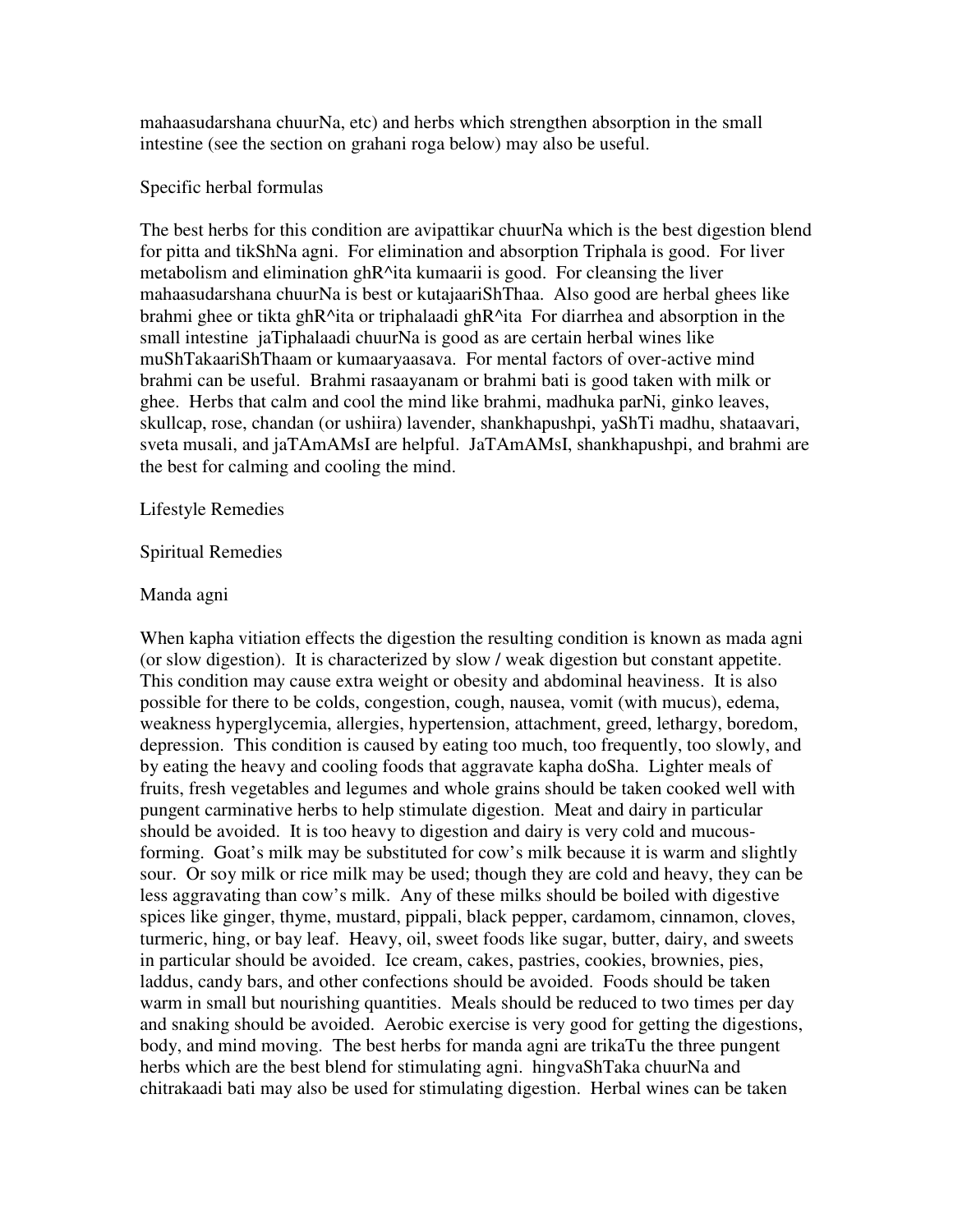mahaasudarshana chuurNa, etc) and herbs which strengthen absorption in the small intestine (see the section on grahani roga below) may also be useful.

## Specific herbal formulas

The best herbs for this condition are avipattikar chuurNa which is the best digestion blend for pitta and tikShNa agni. For elimination and absorption Triphala is good. For liver metabolism and elimination ghR^ita kumaarii is good. For cleansing the liver mahaasudarshana chuurNa is best or kutajaariShThaa. Also good are herbal ghees like brahmi ghee or tikta ghR^ita or triphalaadi ghR^ita For diarrhea and absorption in the small intestine jaTiphalaadi chuurNa is good as are certain herbal wines like muShTakaariShThaam or kumaaryaasava. For mental factors of over-active mind brahmi can be useful. Brahmi rasaayanam or brahmi bati is good taken with milk or ghee. Herbs that calm and cool the mind like brahmi, madhuka parNi, ginko leaves, skullcap, rose, chandan (or ushiira) lavender, shankhapushpi, yaShTi madhu, shataavari, sveta musali, and jaTAmAMsI are helpful. JaTAmAMsI, shankhapushpi, and brahmi are the best for calming and cooling the mind.

## Lifestyle Remedies

## Spiritual Remedies

## Manda agni

When kapha vitiation effects the digestion the resulting condition is known as mada agni (or slow digestion). It is characterized by slow / weak digestion but constant appetite. This condition may cause extra weight or obesity and abdominal heaviness. It is also possible for there to be colds, congestion, cough, nausea, vomit (with mucus), edema, weakness hyperglycemia, allergies, hypertension, attachment, greed, lethargy, boredom, depression. This condition is caused by eating too much, too frequently, too slowly, and by eating the heavy and cooling foods that aggravate kapha doSha. Lighter meals of fruits, fresh vegetables and legumes and whole grains should be taken cooked well with pungent carminative herbs to help stimulate digestion. Meat and dairy in particular should be avoided. It is too heavy to digestion and dairy is very cold and mucousforming. Goat's milk may be substituted for cow's milk because it is warm and slightly sour. Or soy milk or rice milk may be used; though they are cold and heavy, they can be less aggravating than cow's milk. Any of these milks should be boiled with digestive spices like ginger, thyme, mustard, pippali, black pepper, cardamom, cinnamon, cloves, turmeric, hing, or bay leaf. Heavy, oil, sweet foods like sugar, butter, dairy, and sweets in particular should be avoided. Ice cream, cakes, pastries, cookies, brownies, pies, laddus, candy bars, and other confections should be avoided. Foods should be taken warm in small but nourishing quantities. Meals should be reduced to two times per day and snaking should be avoided. Aerobic exercise is very good for getting the digestions, body, and mind moving. The best herbs for manda agni are trikaTu the three pungent herbs which are the best blend for stimulating agni. hingvaShTaka chuurNa and chitrakaadi bati may also be used for stimulating digestion. Herbal wines can be taken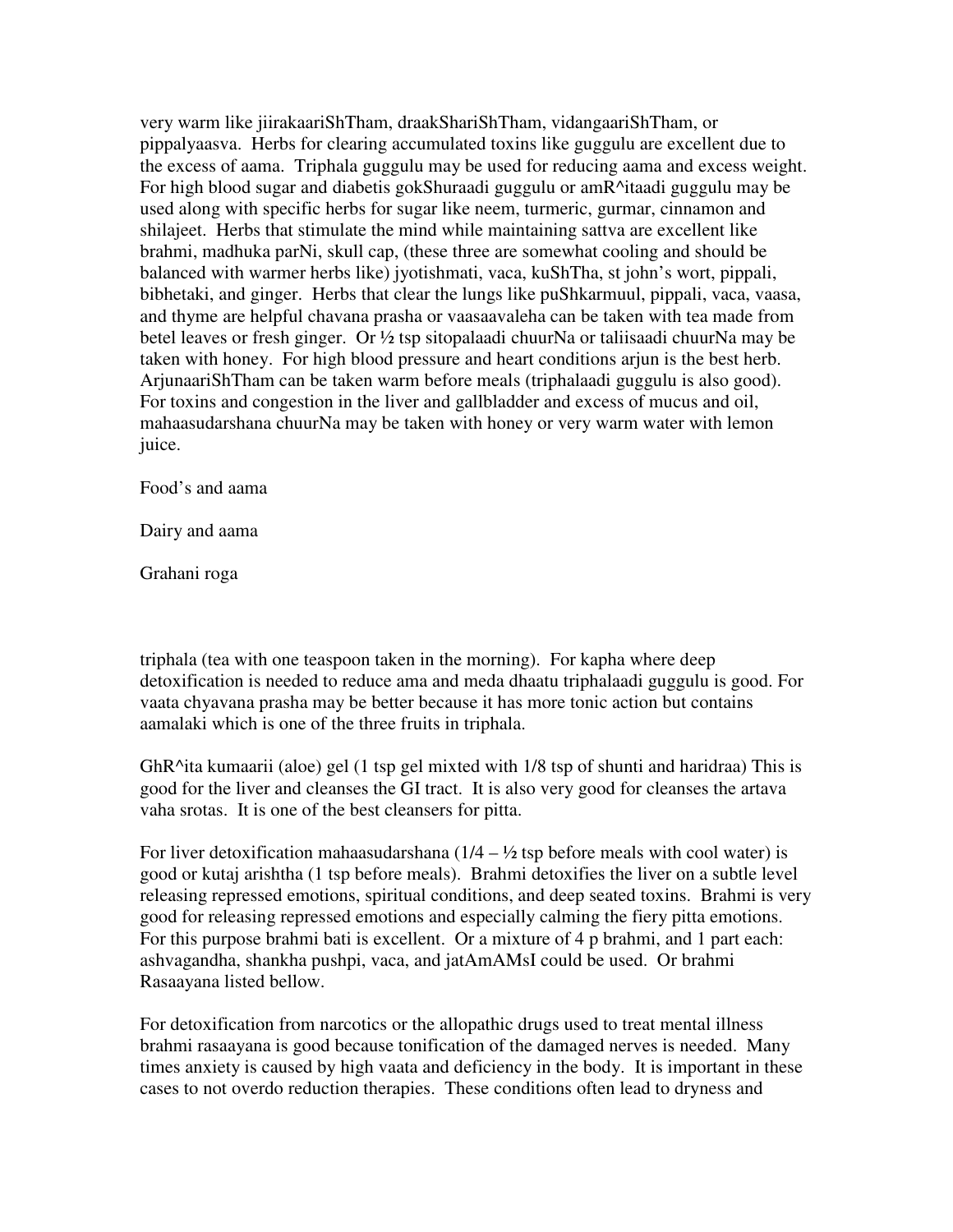very warm like jiirakaariShTham, draakShariShTham, vidangaariShTham, or pippalyaasva. Herbs for clearing accumulated toxins like guggulu are excellent due to the excess of aama. Triphala guggulu may be used for reducing aama and excess weight. For high blood sugar and diabetis gokShuraadi guggulu or amR^itaadi guggulu may be used along with specific herbs for sugar like neem, turmeric, gurmar, cinnamon and shilajeet. Herbs that stimulate the mind while maintaining sattva are excellent like brahmi, madhuka parNi, skull cap, (these three are somewhat cooling and should be balanced with warmer herbs like) jyotishmati, vaca, kuShTha, st john's wort, pippali, bibhetaki, and ginger. Herbs that clear the lungs like puShkarmuul, pippali, vaca, vaasa, and thyme are helpful chavana prasha or vaasaavaleha can be taken with tea made from betel leaves or fresh ginger. Or ½ tsp sitopalaadi chuurNa or taliisaadi chuurNa may be taken with honey. For high blood pressure and heart conditions arjun is the best herb. ArjunaariShTham can be taken warm before meals (triphalaadi guggulu is also good). For toxins and congestion in the liver and gallbladder and excess of mucus and oil, mahaasudarshana chuurNa may be taken with honey or very warm water with lemon juice.

Food's and aama

Dairy and aama

Grahani roga

triphala (tea with one teaspoon taken in the morning). For kapha where deep detoxification is needed to reduce ama and meda dhaatu triphalaadi guggulu is good. For vaata chyavana prasha may be better because it has more tonic action but contains aamalaki which is one of the three fruits in triphala.

GhR^ita kumaarii (aloe) gel (1 tsp gel mixted with 1/8 tsp of shunti and haridraa) This is good for the liver and cleanses the GI tract. It is also very good for cleanses the artava vaha srotas. It is one of the best cleansers for pitta.

For liver detoxification mahaasudarshana  $(1/4 - \frac{1}{2})$  tsp before meals with cool water) is good or kutaj arishtha (1 tsp before meals). Brahmi detoxifies the liver on a subtle level releasing repressed emotions, spiritual conditions, and deep seated toxins. Brahmi is very good for releasing repressed emotions and especially calming the fiery pitta emotions. For this purpose brahmi bati is excellent. Or a mixture of 4 p brahmi, and 1 part each: ashvagandha, shankha pushpi, vaca, and jatAmAMsI could be used. Or brahmi Rasaayana listed bellow.

For detoxification from narcotics or the allopathic drugs used to treat mental illness brahmi rasaayana is good because tonification of the damaged nerves is needed. Many times anxiety is caused by high vaata and deficiency in the body. It is important in these cases to not overdo reduction therapies. These conditions often lead to dryness and